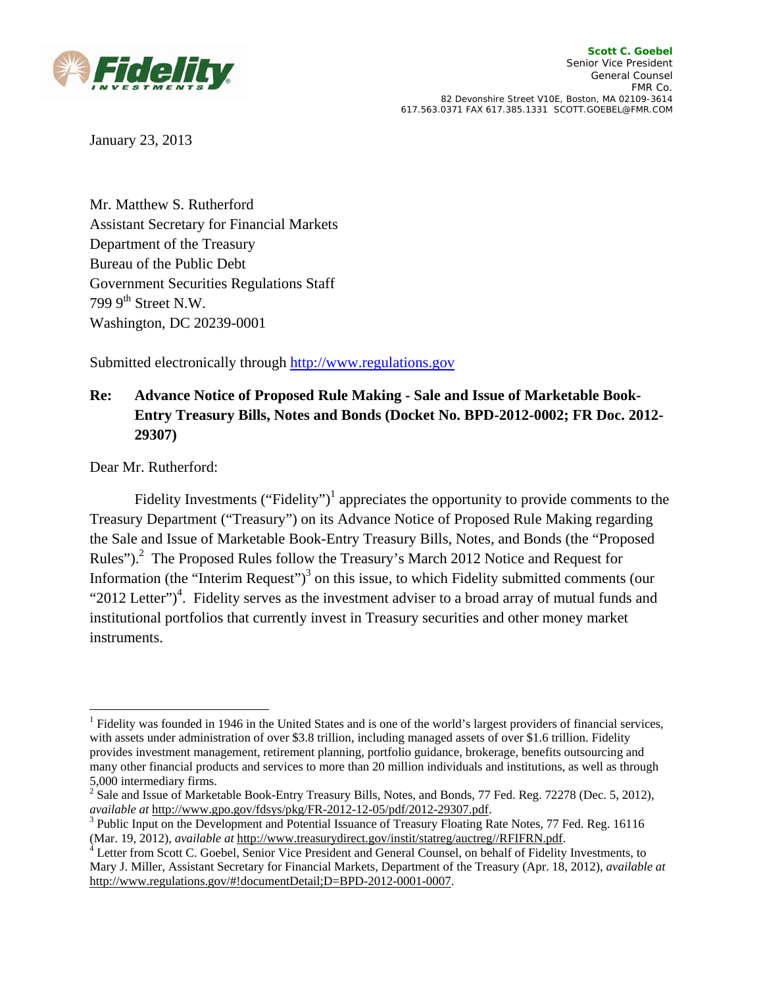

January 23, 2013

Mr. Matthew S. Rutherford Assistant Secretary for Financial Markets Department of the Treasury Bureau of the Public Debt Government Securities Regulations Staff 799  $9<sup>th</sup>$  Street N.W. Washington, DC 20239-0001

Submitted electronically through http://www.regulations.gov

# **Re: Advance Notice of Proposed Rule Making - Sale and Issue of Marketable Book-Entry Treasury Bills, Notes and Bonds (Docket No. BPD-2012-0002; FR Doc. 2012- 29307)**

Dear Mr. Rutherford:

Fidelity Investments ("Fidelity")<sup>1</sup> appreciates the opportunity to provide comments to the Treasury Department ("Treasury") on its Advance Notice of Proposed Rule Making regarding the Sale and Issue of Marketable Book-Entry Treasury Bills, Notes, and Bonds (the "Proposed Rules").<sup>2</sup> The Proposed Rules follow the Treasury's March 2012 Notice and Request for Information (the "Interim Request")<sup>3</sup> on this issue, to which Fidelity submitted comments (our "2012 Letter")<sup>4</sup>. Fidelity serves as the investment adviser to a broad array of mutual funds and institutional portfolios that currently invest in Treasury securities and other money market instruments.

<sup>&</sup>lt;sup>1</sup> Fidelity was founded in 1946 in the United States and is one of the world's largest providers of financial services, with assets under administration of over \$3.8 trillion, including managed assets of over \$1.6 trillion. Fidelity provides investment management, retirement planning, portfolio guidance, brokerage, benefits outsourcing and many other financial products and services to more than 20 million individuals and institutions, as well as through 5,000 intermediary firms.

<sup>&</sup>lt;sup>2</sup> Sale and Issue of Marketable Book-Entry Treasury Bills, Notes, and Bonds, 77 Fed. Reg. 72278 (Dec. 5, 2012), *available at* http://www.gpo.gov/fdsys/pkg/FR-2012-12-05/pdf/2012-29307.pdf. 3

 $3$  Public Input on the Development and Potential Issuance of Treasury Floating Rate Notes, 77 Fed. Reg. 16116 (Mar. 19, 2012), *available at* http://www.treasurydirect.gov/instit/statreg/auctreg//RFIFRN.pdf. 4

Letter from Scott C. Goebel, Senior Vice President and General Counsel, on behalf of Fidelity Investments, to Mary J. Miller, Assistant Secretary for Financial Markets, Department of the Treasury (Apr. 18, 2012), *available at*  http://www.regulations.gov/#!documentDetail;D=BPD-2012-0001-0007.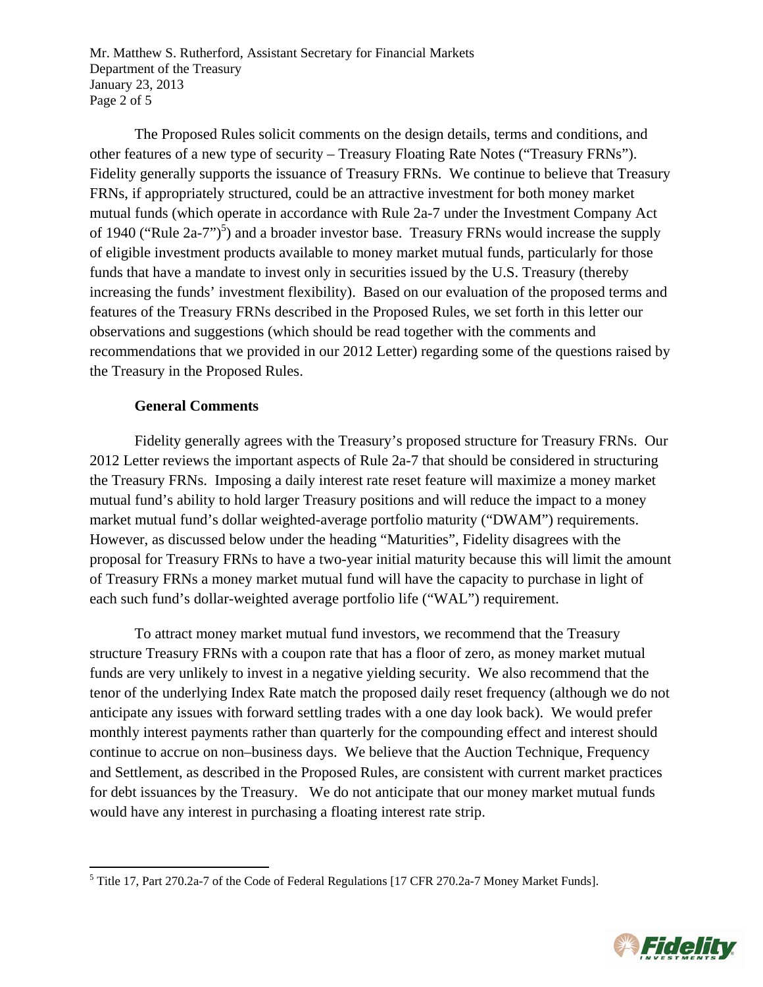Mr. Matthew S. Rutherford, Assistant Secretary for Financial Markets Department of the Treasury January 23, 2013 Page 2 of 5

The Proposed Rules solicit comments on the design details, terms and conditions, and other features of a new type of security – Treasury Floating Rate Notes ("Treasury FRNs"). Fidelity generally supports the issuance of Treasury FRNs. We continue to believe that Treasury FRNs, if appropriately structured, could be an attractive investment for both money market mutual funds (which operate in accordance with Rule 2a-7 under the Investment Company Act of 1940 ("Rule 2a-7")<sup>5</sup>) and a broader investor base. Treasury FRNs would increase the supply of eligible investment products available to money market mutual funds, particularly for those funds that have a mandate to invest only in securities issued by the U.S. Treasury (thereby increasing the funds' investment flexibility). Based on our evaluation of the proposed terms and features of the Treasury FRNs described in the Proposed Rules, we set forth in this letter our observations and suggestions (which should be read together with the comments and recommendations that we provided in our 2012 Letter) regarding some of the questions raised by the Treasury in the Proposed Rules.

## **General Comments**

Fidelity generally agrees with the Treasury's proposed structure for Treasury FRNs. Our 2012 Letter reviews the important aspects of Rule 2a-7 that should be considered in structuring the Treasury FRNs. Imposing a daily interest rate reset feature will maximize a money market mutual fund's ability to hold larger Treasury positions and will reduce the impact to a money market mutual fund's dollar weighted-average portfolio maturity ("DWAM") requirements. However, as discussed below under the heading "Maturities", Fidelity disagrees with the proposal for Treasury FRNs to have a two-year initial maturity because this will limit the amount of Treasury FRNs a money market mutual fund will have the capacity to purchase in light of each such fund's dollar-weighted average portfolio life ("WAL") requirement.

To attract money market mutual fund investors, we recommend that the Treasury structure Treasury FRNs with a coupon rate that has a floor of zero, as money market mutual funds are very unlikely to invest in a negative yielding security. We also recommend that the tenor of the underlying Index Rate match the proposed daily reset frequency (although we do not anticipate any issues with forward settling trades with a one day look back). We would prefer monthly interest payments rather than quarterly for the compounding effect and interest should continue to accrue on non–business days. We believe that the Auction Technique, Frequency and Settlement, as described in the Proposed Rules, are consistent with current market practices for debt issuances by the Treasury. We do not anticipate that our money market mutual funds would have any interest in purchasing a floating interest rate strip.

<sup>&</sup>lt;sup>5</sup><br><sup>5</sup> Title 17, Part 270.2a-7 of the Code of Federal Regulations [17 CFR 270.2a-7 Money Market Funds].

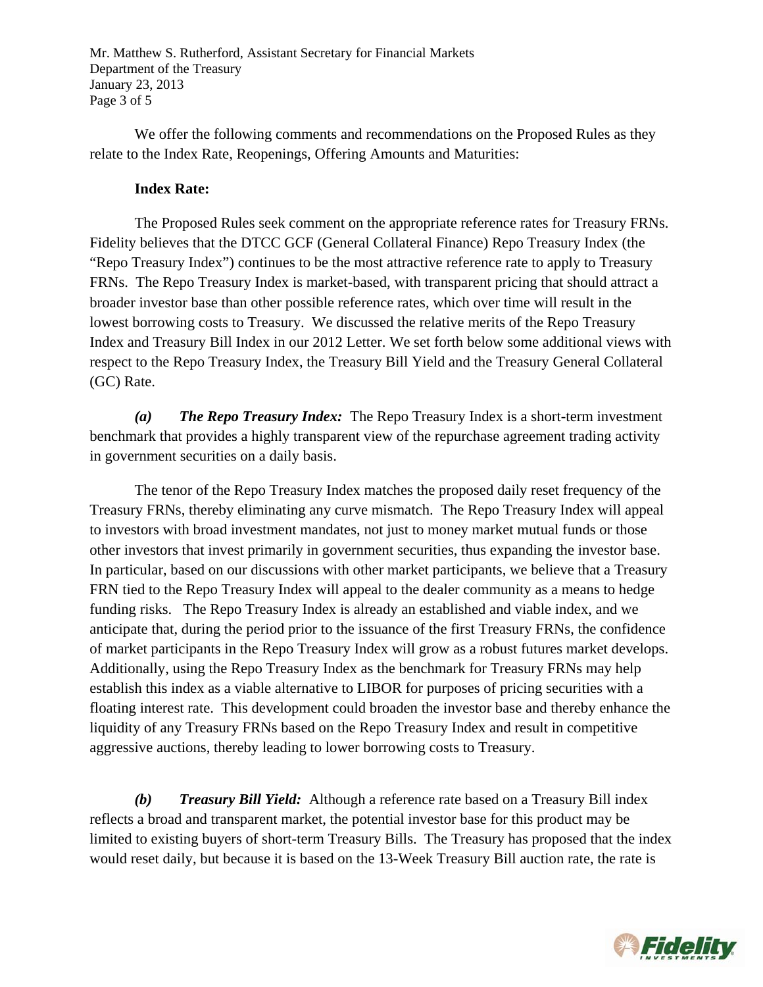Mr. Matthew S. Rutherford, Assistant Secretary for Financial Markets Department of the Treasury January 23, 2013 Page 3 of 5

We offer the following comments and recommendations on the Proposed Rules as they relate to the Index Rate, Reopenings, Offering Amounts and Maturities:

## **Index Rate:**

The Proposed Rules seek comment on the appropriate reference rates for Treasury FRNs. Fidelity believes that the DTCC GCF (General Collateral Finance) Repo Treasury Index (the "Repo Treasury Index") continues to be the most attractive reference rate to apply to Treasury FRNs. The Repo Treasury Index is market-based, with transparent pricing that should attract a broader investor base than other possible reference rates, which over time will result in the lowest borrowing costs to Treasury. We discussed the relative merits of the Repo Treasury Index and Treasury Bill Index in our 2012 Letter. We set forth below some additional views with respect to the Repo Treasury Index, the Treasury Bill Yield and the Treasury General Collateral (GC) Rate.

*(a) The Repo Treasury Index:* The Repo Treasury Index is a short-term investment benchmark that provides a highly transparent view of the repurchase agreement trading activity in government securities on a daily basis.

The tenor of the Repo Treasury Index matches the proposed daily reset frequency of the Treasury FRNs, thereby eliminating any curve mismatch. The Repo Treasury Index will appeal to investors with broad investment mandates, not just to money market mutual funds or those other investors that invest primarily in government securities, thus expanding the investor base. In particular, based on our discussions with other market participants, we believe that a Treasury FRN tied to the Repo Treasury Index will appeal to the dealer community as a means to hedge funding risks. The Repo Treasury Index is already an established and viable index, and we anticipate that, during the period prior to the issuance of the first Treasury FRNs, the confidence of market participants in the Repo Treasury Index will grow as a robust futures market develops. Additionally, using the Repo Treasury Index as the benchmark for Treasury FRNs may help establish this index as a viable alternative to LIBOR for purposes of pricing securities with a floating interest rate. This development could broaden the investor base and thereby enhance the liquidity of any Treasury FRNs based on the Repo Treasury Index and result in competitive aggressive auctions, thereby leading to lower borrowing costs to Treasury.

*(b) Treasury Bill Yield:*Although a reference rate based on a Treasury Bill index reflects a broad and transparent market, the potential investor base for this product may be limited to existing buyers of short-term Treasury Bills. The Treasury has proposed that the index would reset daily, but because it is based on the 13-Week Treasury Bill auction rate, the rate is

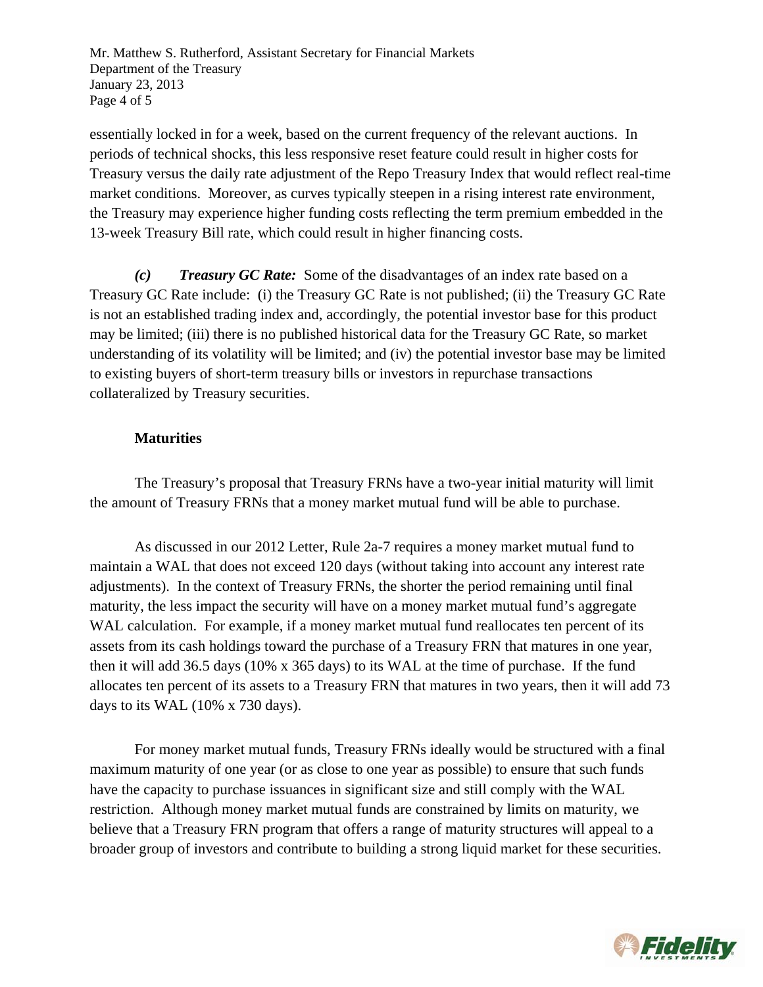Mr. Matthew S. Rutherford, Assistant Secretary for Financial Markets Department of the Treasury January 23, 2013 Page 4 of 5

essentially locked in for a week, based on the current frequency of the relevant auctions. In periods of technical shocks, this less responsive reset feature could result in higher costs for Treasury versus the daily rate adjustment of the Repo Treasury Index that would reflect real-time market conditions. Moreover, as curves typically steepen in a rising interest rate environment, the Treasury may experience higher funding costs reflecting the term premium embedded in the 13-week Treasury Bill rate, which could result in higher financing costs.

*(c) Treasury GC Rate:* Some of the disadvantages of an index rate based on a Treasury GC Rate include: (i) the Treasury GC Rate is not published; (ii) the Treasury GC Rate is not an established trading index and, accordingly, the potential investor base for this product may be limited; (iii) there is no published historical data for the Treasury GC Rate, so market understanding of its volatility will be limited; and (iv) the potential investor base may be limited to existing buyers of short-term treasury bills or investors in repurchase transactions collateralized by Treasury securities.

## **Maturities**

The Treasury's proposal that Treasury FRNs have a two-year initial maturity will limit the amount of Treasury FRNs that a money market mutual fund will be able to purchase.

As discussed in our 2012 Letter, Rule 2a-7 requires a money market mutual fund to maintain a WAL that does not exceed 120 days (without taking into account any interest rate adjustments). In the context of Treasury FRNs, the shorter the period remaining until final maturity, the less impact the security will have on a money market mutual fund's aggregate WAL calculation. For example, if a money market mutual fund reallocates ten percent of its assets from its cash holdings toward the purchase of a Treasury FRN that matures in one year, then it will add 36.5 days (10% x 365 days) to its WAL at the time of purchase. If the fund allocates ten percent of its assets to a Treasury FRN that matures in two years, then it will add 73 days to its WAL (10% x 730 days).

For money market mutual funds, Treasury FRNs ideally would be structured with a final maximum maturity of one year (or as close to one year as possible) to ensure that such funds have the capacity to purchase issuances in significant size and still comply with the WAL restriction. Although money market mutual funds are constrained by limits on maturity, we believe that a Treasury FRN program that offers a range of maturity structures will appeal to a broader group of investors and contribute to building a strong liquid market for these securities.